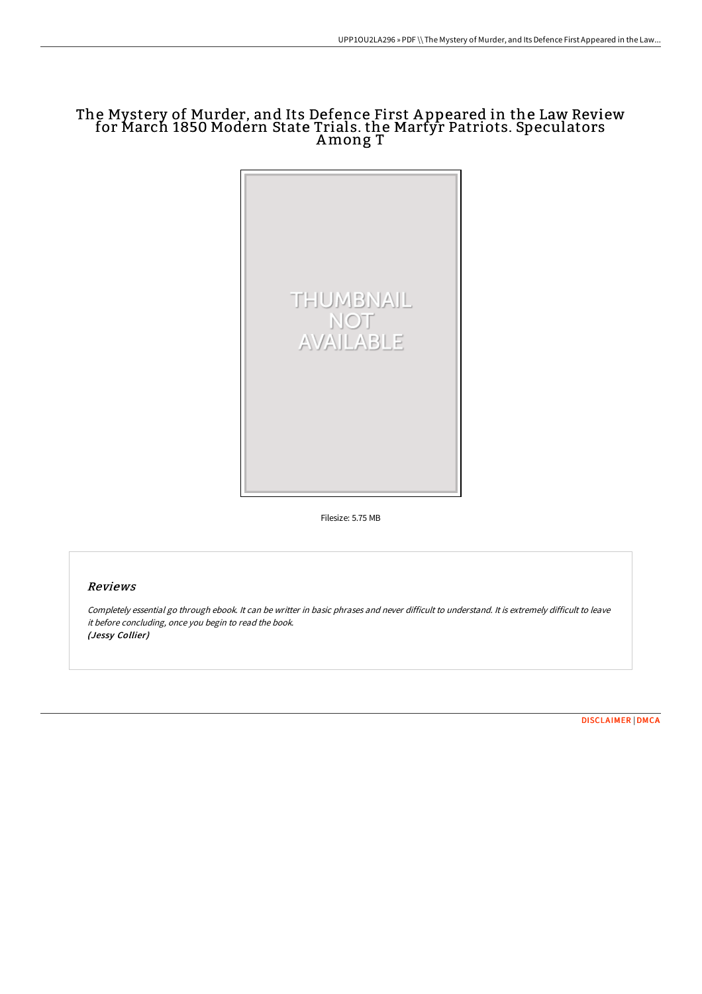# The Mystery of Murder, and Its Defence First A ppeared in the Law Review for March 1850 Modern State Trials. the Martyr Patriots. Speculators Among T



Filesize: 5.75 MB

## Reviews

Completely essential go through ebook. It can be writter in basic phrases and never difficult to understand. It is extremely difficult to leave it before concluding, once you begin to read the book. (Jessy Collier)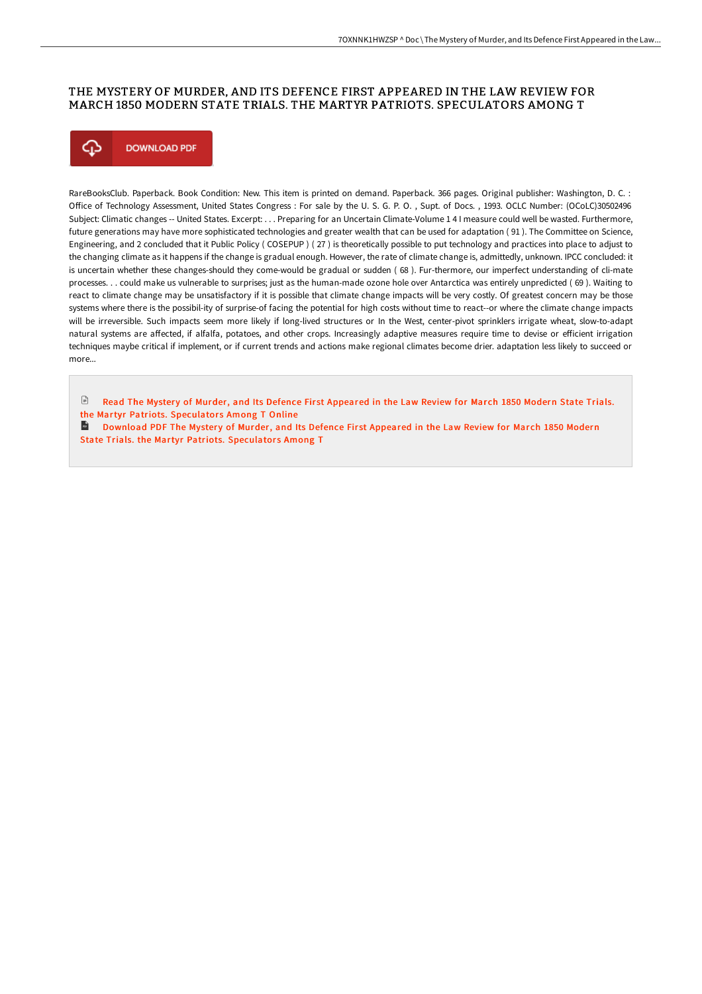### THE MYSTERY OF MURDER, AND ITS DEFENCE FIRST APPEARED IN THE LAW REVIEW FOR MARCH 1850 MODERN STATE TRIALS. THE MARTYR PATRIOTS. SPECULATORS AMONG T



RareBooksClub. Paperback. Book Condition: New. This item is printed on demand. Paperback. 366 pages. Original publisher: Washington, D. C. : Office of Technology Assessment, United States Congress : For sale by the U. S. G. P. O., Supt. of Docs., 1993. OCLC Number: (OCoLC)30502496 Subject: Climatic changes -- United States. Excerpt: . . . Preparing for an Uncertain Climate-Volume 1 4 I measure could well be wasted. Furthermore, future generations may have more sophisticated technologies and greater wealth that can be used for adaptation ( 91 ). The Committee on Science, Engineering, and 2 concluded that it Public Policy ( COSEPUP ) ( 27 ) is theoretically possible to put technology and practices into place to adjust to the changing climate as it happens if the change is gradual enough. However, the rate of climate change is, admittedly, unknown. IPCC concluded: it is uncertain whether these changes-should they come-would be gradual or sudden ( 68 ). Fur-thermore, our imperfect understanding of cli-mate processes. . . could make us vulnerable to surprises; just as the human-made ozone hole over Antarctica was entirely unpredicted ( 69 ). Waiting to react to climate change may be unsatisfactory if it is possible that climate change impacts will be very costly. Of greatest concern may be those systems where there is the possibil-ity of surprise-of facing the potential for high costs without time to react--or where the climate change impacts will be irreversible. Such impacts seem more likely if long-lived structures or In the West, center-pivot sprinklers irrigate wheat, slow-to-adapt natural systems are affected, if alfalfa, potatoes, and other crops. Increasingly adaptive measures require time to devise or efficient irrigation techniques maybe critical if implement, or if current trends and actions make regional climates become drier. adaptation less likely to succeed or more

 $\Box$  Read The Mystery of Murder, and Its Defence First Appeared in the Law Review for March 1850 Modern State Trials. the Martyr Patriots. [Speculator](http://techno-pub.tech/the-mystery-of-murder-and-its-defence-first-appe.html)s Among T Online

Download PDF The Mystery of Murder, and Its Defence First Appeared in the Law Review for March 1850 Modern State Trials. the Martyr Patriots. [Speculator](http://techno-pub.tech/the-mystery-of-murder-and-its-defence-first-appe.html)s Among T